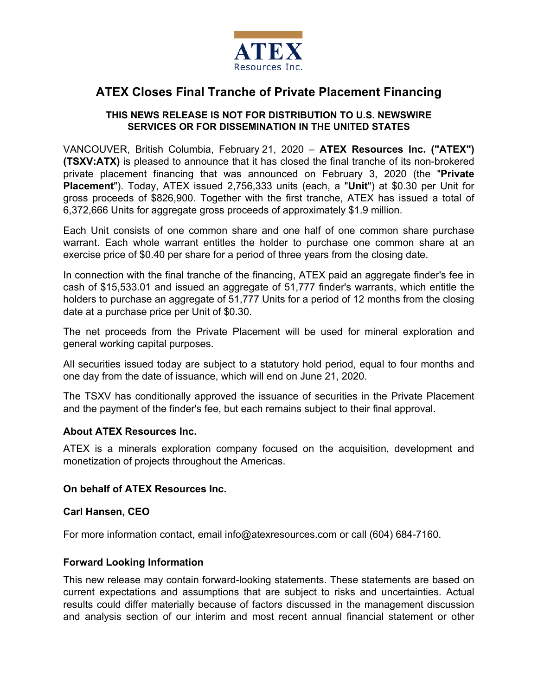

# **ATEX Closes Final Tranche of Private Placement Financing**

## **THIS NEWS RELEASE IS NOT FOR DISTRIBUTION TO U.S. NEWSWIRE SERVICES OR FOR DISSEMINATION IN THE UNITED STATES**

VANCOUVER, British Columbia, February 21, 2020 – **ATEX Resources Inc. ("ATEX") (TSXV:ATX)** is pleased to announce that it has closed the final tranche of its non-brokered private placement financing that was announced on February 3, 2020 (the "**Private Placement**"). Today, ATEX issued 2,756,333 units (each, a "**Unit**") at \$0.30 per Unit for gross proceeds of \$826,900. Together with the first tranche, ATEX has issued a total of 6,372,666 Units for aggregate gross proceeds of approximately \$1.9 million.

Each Unit consists of one common share and one half of one common share purchase warrant. Each whole warrant entitles the holder to purchase one common share at an exercise price of \$0.40 per share for a period of three years from the closing date.

In connection with the final tranche of the financing, ATEX paid an aggregate finder's fee in cash of \$15,533.01 and issued an aggregate of 51,777 finder's warrants, which entitle the holders to purchase an aggregate of 51,777 Units for a period of 12 months from the closing date at a purchase price per Unit of \$0.30.

The net proceeds from the Private Placement will be used for mineral exploration and general working capital purposes.

All securities issued today are subject to a statutory hold period, equal to four months and one day from the date of issuance, which will end on June 21, 2020.

The TSXV has conditionally approved the issuance of securities in the Private Placement and the payment of the finder's fee, but each remains subject to their final approval.

### **About ATEX Resources Inc.**

ATEX is a minerals exploration company focused on the acquisition, development and monetization of projects throughout the Americas.

### **On behalf of ATEX Resources Inc.**

### **Carl Hansen, CEO**

For more information contact, email info@atexresources.com or call (604) 684-7160.

### **Forward Looking Information**

This new release may contain forward-looking statements. These statements are based on current expectations and assumptions that are subject to risks and uncertainties. Actual results could differ materially because of factors discussed in the management discussion and analysis section of our interim and most recent annual financial statement or other